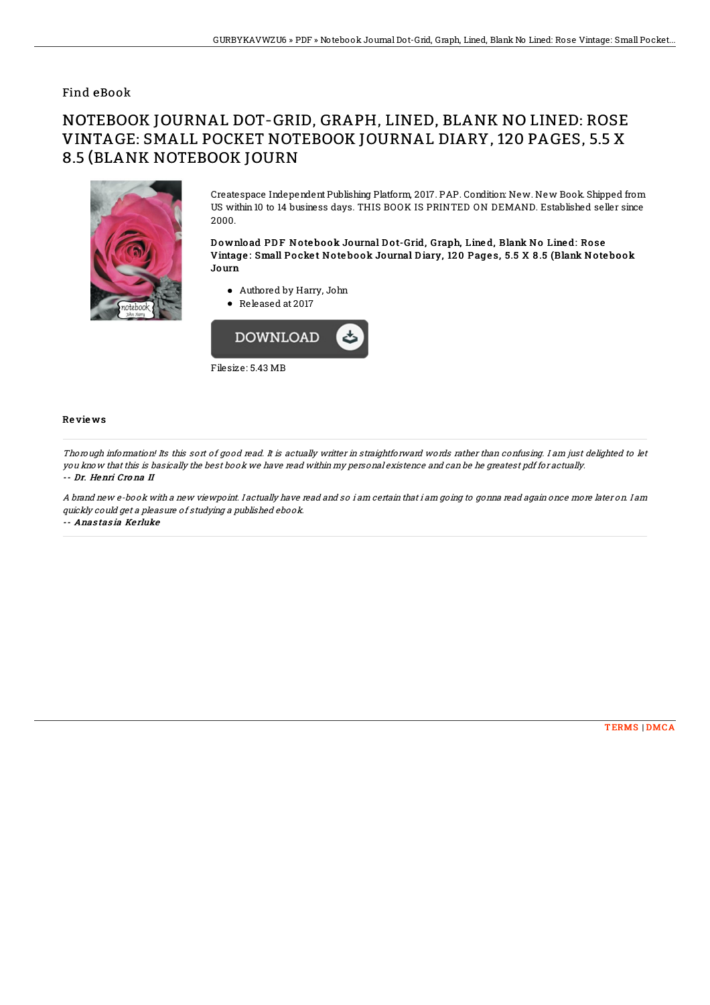## Find eBook

## NOTEBOOK JOURNAL DOT-GRID, GRAPH, LINED, BLANK NO LINED: ROSE VINTAGE: SMALL POCKET NOTEBOOK JOURNAL DIARY, 120 PAGES, 5.5 X 8.5 (BLANK NOTEBOOK JOURN



Createspace Independent Publishing Platform, 2017. PAP. Condition: New. New Book. Shipped from US within 10 to 14 business days. THIS BOOK IS PRINTED ON DEMAND. Established seller since 2000.

Download PDF Notebook Journal Dot-Grid, Graph, Lined, Blank No Lined: Rose Vintage : Small Po cke t No te bo ok Journal D iary, 12 0 Page s, 5.5 X 8 .5 (Blank No te bo ok Journ

- Authored by Harry, John
- Released at 2017



## Re vie ws

Thorough information! Its this sort of good read. It is actually writter in straightforward words rather than confusing. I am just delighted to let you know that this is basically the best book we have read within my personal existence and can be he greatest pdf for actually. -- Dr. Henri Cro na II

A brand new e-book with <sup>a</sup> new viewpoint. I actually have read and so i am certain that i am going to gonna read again once more later on. I am quickly could get <sup>a</sup> pleasure of studying <sup>a</sup> published ebook. -- Anas tas ia Ke rluke